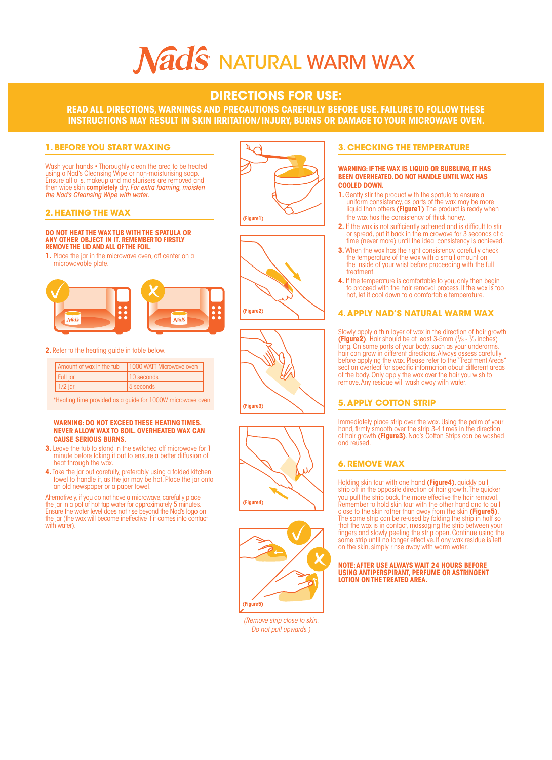# Nads NATURAL WARM WAX

# **DIRECTIONS FOR USE:**

**READ ALL DIRECTIONS, WARNINGS AND PRECAUTIONS CAREFULLY BEFORE USE. FAILURE TO FOLLOW THESE INSTRUCTIONS MAY RESULT IN SKIN IRRITATION/ INJURY, BURNS OR DAMAGE TO YOUR MICROWAVE OVEN.**

# **1. BEFORE YOU START WAXING**

Wash your hands • Thoroughly clean the area to be treated using a Nad's Cleansing Wipe or non-moisturising soap Ensure all oils, makeup and moisturisers are removed and then wipe skin completely dry. *For extra foaming, moisten the Nad's Cleansing Wipe with water.*

## **2. HEATING THE WAX**

#### **DO NOT HEAT THE WAX TUB WITH THE SPATULA OR ANY OTHER OBJECT IN IT. REMEMBER TO FIRSTLY REMOVE THE LID AND ALL OF THE FOIL.**

**1.** Place the jar in the microwave oven, off center on a microwavable plate.



#### **2.** Refer to the heating guide in table below.

|           | Amount of wax in the tub   1000 WATT Microwave oven |
|-----------|-----------------------------------------------------|
| Full jar  | 10 seconds                                          |
| $1/2$ jar | 15 seconds                                          |

\*Heating time provided as a guide for 1000W microwave oven

#### **WARNING: DO NOT EXCEED THESE HEATING TIMES. NEVER ALLOW WAX TO BOIL. OVERHEATED WAX CAN CAUSE SERIOUS BURNS.**

- **3.** Leave the tub to stand in the switched off microwave for 1 minute before taking it out to ensure a better diffusion of heat through the wax.
- **4.** Take the jar out carefully, preferably using a folded kitchen towel to handle it, as the jar may be hot. Place the jar onto an old newspaper or a paper towel.

Alternatively, if you do not have a microwave, carefully place the jar in a pot of hot tap water for approximately 5 minutes. Ensure the water level does not rise beyond the Nad's logo on the jar (the wax will become ineffective if it comes into contact with water).











*(Remove strip close to skin. Do not pull upwards.)*

# **3. CHECKING THE TEMPERATURE**

#### **WARNING: IF THE WAX IS LIQUID OR BUBBLING, IT HAS BEEN OVERHEATED. DO NOT HANDLE UNTIL WAX HAS COOLED DOWN.**

- 1. Gently stir the product with the spatula to ensure a uniform consistency, as parts of the wax may be more liquid than others **(Figure1)**. The product is ready when the wax has the consistency of thick honey.
- **2.** If the wax is not sufficiently softened and is difficult to stir or spread, put it back in the microwave for 3 seconds at a time (never more) until the ideal consistency is achieved.
- **3.** When the wax has the right consistency, carefully check the temperature of the wax with a small amount on the inside of your wrist before proceeding with the full treatment.
- **4.** If the temperature is comfortable to you, only then begin to proceed with the hair removal process. If the wax is too hot, let it cool down to a comfortable temperature.

# **4. APPLY NAD'S NATURAL WARM WAX**

Slowly apply a thin layer of wax in the direction of hair growth **(Figure2)**. Hair should be at least  $3-5$ mm  $(\frac{1}{8} - \frac{1}{8})$ long. On some parts of your body, such as your underarms hair can grow in different directions. Always assess carefully<br>before applying the wax. Please refer to the "Treatment Areas"<br>section overleaf for specific information about different areas of the body. Only apply the wax over the hair you wish to remove. Any residue will wash away with water.

# **5. APPLY COTTON STRIP**

Immediately place strip over the wax. Using the palm of your hand, firmly smooth over the strip 3-4 times in the direction of hair growth **(Figure3)**. Nad's Cotton Strips can be washed and reused.

# **6. REMOVE WAX**

Holding skin taut with one hand **(Figure4)**, quickly pull strip off in the opposite direction of hair growth. The quicker you pull the strip back, the more effective the hair removal. Remember to hold skin taut with the other hand and to pull close to the skin rather than away from the skin **(Figure5)**. The same strip can be re-used by folding the strip in half so that the wax is in contact, massaging the strip between your fingers and slowly peeling the strip open. Continue using the same strip until no longer effective. If any wax residue is left on the skin, simply rinse away with warm water.

**NOTE: AFTER USE ALWAYS WAIT 24 HOURS BEFORE USING ANTIPERSPIRANT, PERFUME OR ASTRINGENT LOTION ON THE TREATED AREA.**